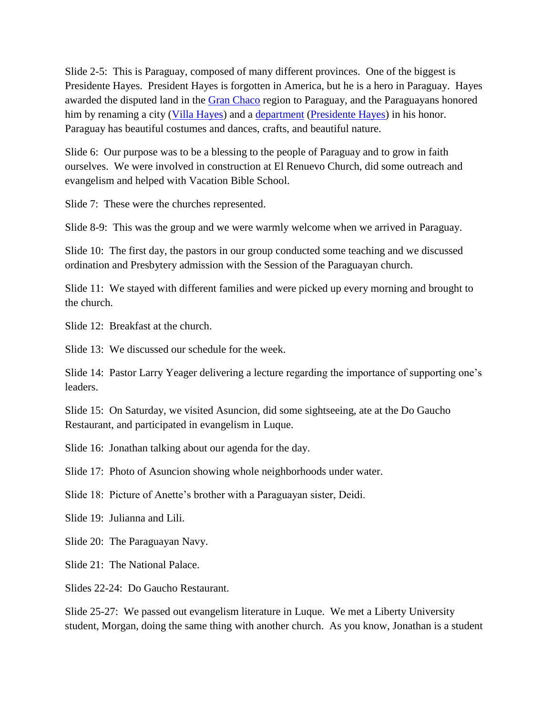Slide 2-5: This is Paraguay, composed of many different provinces. One of the biggest is Presidente Hayes. President Hayes is forgotten in America, but he is a hero in Paraguay. Hayes awarded the disputed land in the [Gran Chaco](http://en.wikipedia.org/wiki/Gran_Chaco) region to Paraguay, and the Paraguayans honored him by renaming a city [\(Villa Hayes\)](http://en.wikipedia.org/wiki/Villa_Hayes) and a [department](http://en.wikipedia.org/wiki/Department_(country_subdivision)) [\(Presidente Hayes\)](http://en.wikipedia.org/wiki/Presidente_Hayes_Department) in his honor. Paraguay has beautiful costumes and dances, crafts, and beautiful nature.

Slide 6: Our purpose was to be a blessing to the people of Paraguay and to grow in faith ourselves. We were involved in construction at El Renuevo Church, did some outreach and evangelism and helped with Vacation Bible School.

Slide 7: These were the churches represented.

Slide 8-9: This was the group and we were warmly welcome when we arrived in Paraguay.

Slide 10: The first day, the pastors in our group conducted some teaching and we discussed ordination and Presbytery admission with the Session of the Paraguayan church.

Slide 11: We stayed with different families and were picked up every morning and brought to the church.

Slide 12: Breakfast at the church.

Slide 13: We discussed our schedule for the week.

Slide 14: Pastor Larry Yeager delivering a lecture regarding the importance of supporting one's leaders.

Slide 15: On Saturday, we visited Asuncion, did some sightseeing, ate at the Do Gaucho Restaurant, and participated in evangelism in Luque.

Slide 16: Jonathan talking about our agenda for the day.

Slide 17: Photo of Asuncion showing whole neighborhoods under water.

Slide 18: Picture of Anette's brother with a Paraguayan sister, Deidi.

Slide 19: Julianna and Lili.

Slide 20: The Paraguayan Navy.

Slide 21: The National Palace.

Slides 22-24: Do Gaucho Restaurant.

Slide 25-27: We passed out evangelism literature in Luque. We met a Liberty University student, Morgan, doing the same thing with another church. As you know, Jonathan is a student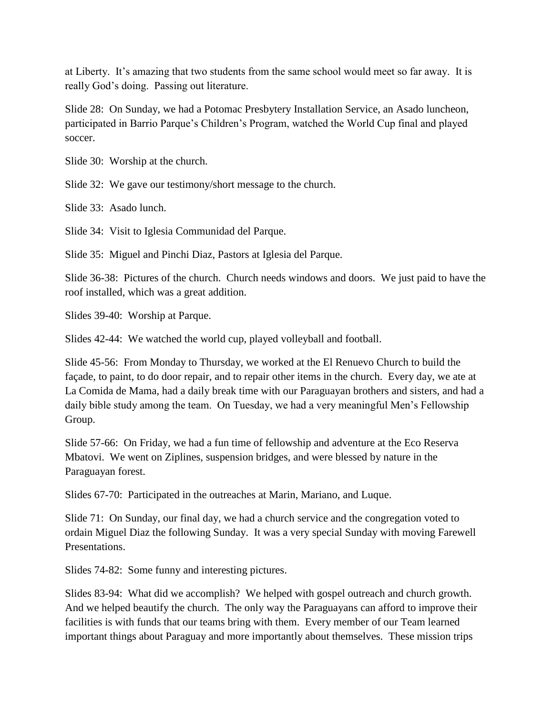at Liberty. It's amazing that two students from the same school would meet so far away. It is really God's doing. Passing out literature.

Slide 28: On Sunday, we had a Potomac Presbytery Installation Service, an Asado luncheon, participated in Barrio Parque's Children's Program, watched the World Cup final and played soccer.

Slide 30: Worship at the church.

Slide 32: We gave our testimony/short message to the church.

Slide 33: Asado lunch.

Slide 34: Visit to Iglesia Communidad del Parque.

Slide 35: Miguel and Pinchi Diaz, Pastors at Iglesia del Parque.

Slide 36-38: Pictures of the church. Church needs windows and doors. We just paid to have the roof installed, which was a great addition.

Slides 39-40: Worship at Parque.

Slides 42-44: We watched the world cup, played volleyball and football.

Slide 45-56: From Monday to Thursday, we worked at the El Renuevo Church to build the façade, to paint, to do door repair, and to repair other items in the church. Every day, we ate at La Comida de Mama, had a daily break time with our Paraguayan brothers and sisters, and had a daily bible study among the team. On Tuesday, we had a very meaningful Men's Fellowship Group.

Slide 57-66: On Friday, we had a fun time of fellowship and adventure at the Eco Reserva Mbatovi. We went on Ziplines, suspension bridges, and were blessed by nature in the Paraguayan forest.

Slides 67-70: Participated in the outreaches at Marin, Mariano, and Luque.

Slide 71: On Sunday, our final day, we had a church service and the congregation voted to ordain Miguel Diaz the following Sunday. It was a very special Sunday with moving Farewell Presentations.

Slides 74-82: Some funny and interesting pictures.

Slides 83-94: What did we accomplish? We helped with gospel outreach and church growth. And we helped beautify the church. The only way the Paraguayans can afford to improve their facilities is with funds that our teams bring with them. Every member of our Team learned important things about Paraguay and more importantly about themselves. These mission trips